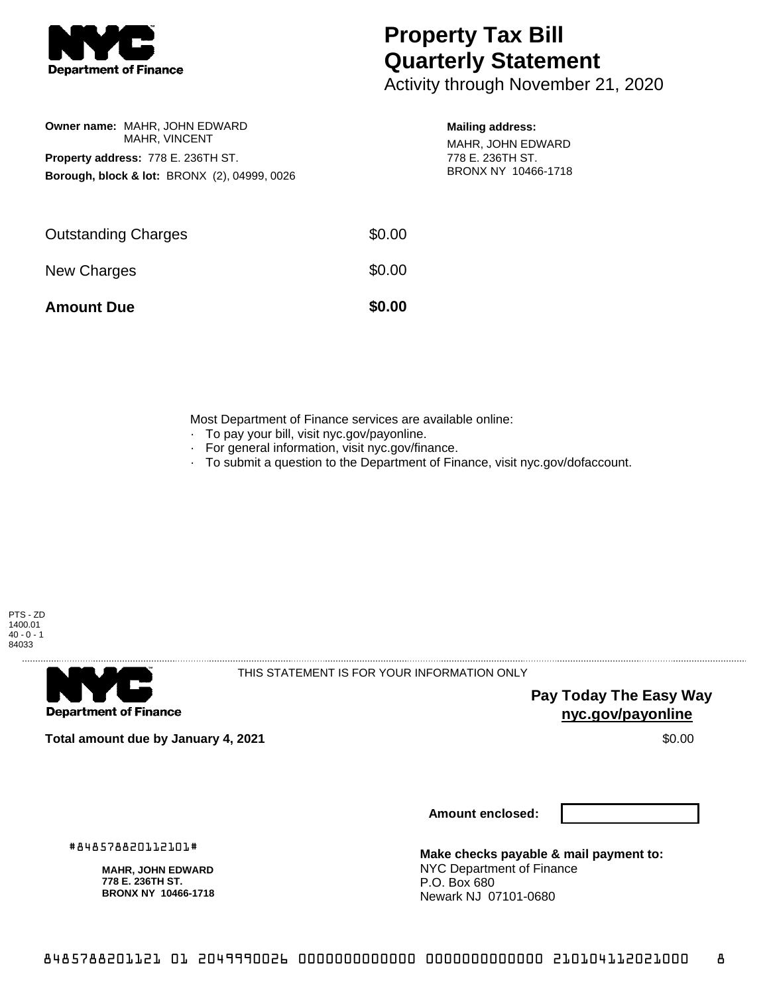

## **Property Tax Bill Quarterly Statement**

Activity through November 21, 2020

|                                                         | <b>Owner name: MAHR, JOHN EDWARD</b><br>MAHR, VINCENT |  |  |  |
|---------------------------------------------------------|-------------------------------------------------------|--|--|--|
| <b>Property address: 778 E. 236TH ST.</b>               |                                                       |  |  |  |
| <b>Borough, block &amp; lot: BRONX (2), 04999, 0026</b> |                                                       |  |  |  |
|                                                         |                                                       |  |  |  |

## **Mailing address:**

MAHR, JOHN EDWARD 778 E. 236TH ST. BRONX NY 10466-1718

| <b>Amount Due</b>          | \$0.00 |
|----------------------------|--------|
| New Charges                | \$0.00 |
| <b>Outstanding Charges</b> | \$0.00 |

Most Department of Finance services are available online:

- · To pay your bill, visit nyc.gov/payonline.
- For general information, visit nyc.gov/finance.
- · To submit a question to the Department of Finance, visit nyc.gov/dofaccount.





THIS STATEMENT IS FOR YOUR INFORMATION ONLY

**Pay Today The Easy Way nyc.gov/payonline**

**Total amount due by January 4, 2021** \$0.00

**MAHR, JOHN EDWARD 778 E. 236TH ST. BRONX NY 10466-1718**

#848578820112101#

**Amount enclosed:**

**Make checks payable & mail payment to:** NYC Department of Finance P.O. Box 680 Newark NJ 07101-0680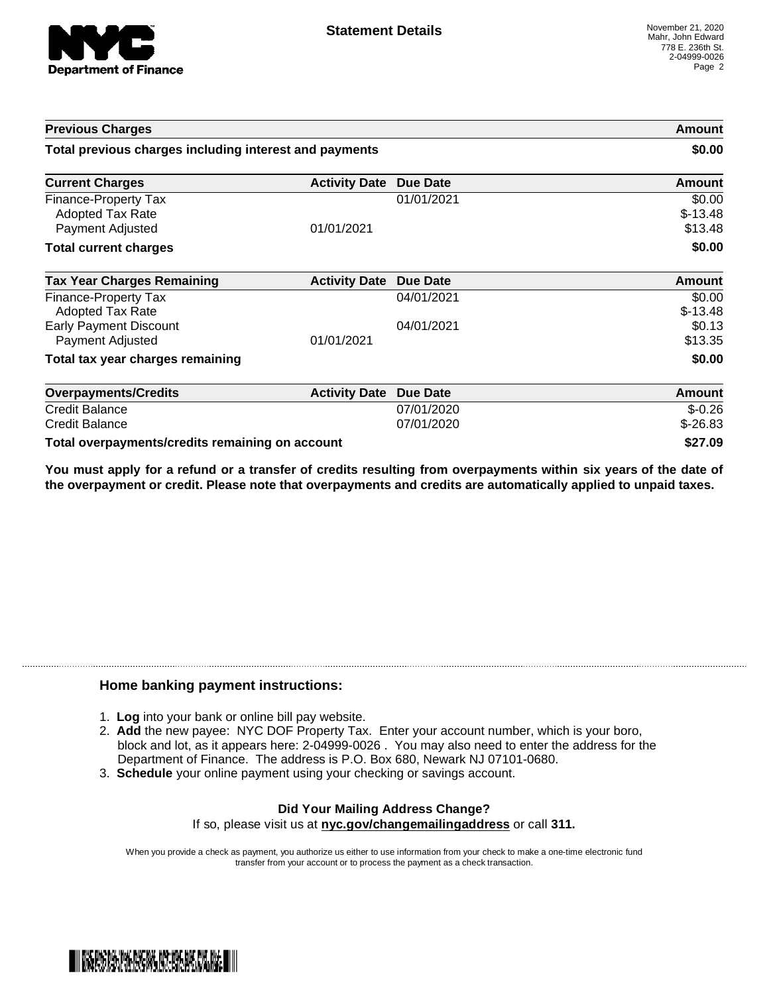

| <b>Previous Charges</b><br>Total previous charges including interest and payments |                      |                          | Amount<br>\$0.00               |
|-----------------------------------------------------------------------------------|----------------------|--------------------------|--------------------------------|
|                                                                                   |                      |                          |                                |
| Finance-Property Tax<br><b>Adopted Tax Rate</b><br>Payment Adjusted               | 01/01/2021           | 01/01/2021               | \$0.00<br>$$-13.48$<br>\$13.48 |
| <b>Total current charges</b>                                                      |                      |                          | \$0.00                         |
| <b>Tax Year Charges Remaining</b>                                                 | <b>Activity Date</b> | Due Date                 | <b>Amount</b>                  |
| Finance-Property Tax<br><b>Adopted Tax Rate</b>                                   |                      | 04/01/2021               | \$0.00<br>$$-13.48$            |
| <b>Early Payment Discount</b><br>Payment Adjusted                                 | 01/01/2021           | 04/01/2021               | \$0.13<br>\$13.35              |
| Total tax year charges remaining                                                  |                      |                          | \$0.00                         |
| <b>Overpayments/Credits</b>                                                       | <b>Activity Date</b> | <b>Due Date</b>          | Amount                         |
| <b>Credit Balance</b><br><b>Credit Balance</b>                                    |                      | 07/01/2020<br>07/01/2020 | $$-0.26$<br>$$-26.83$          |
| Total overpayments/credits remaining on account                                   |                      |                          | \$27.09                        |

You must apply for a refund or a transfer of credits resulting from overpayments within six years of the date of **the overpayment or credit. Please note that overpayments and credits are automatically applied to unpaid taxes.**

## **Home banking payment instructions:**

- 1. **Log** into your bank or online bill pay website.
- 2. **Add** the new payee: NYC DOF Property Tax. Enter your account number, which is your boro, block and lot, as it appears here: 2-04999-0026 . You may also need to enter the address for the Department of Finance. The address is P.O. Box 680, Newark NJ 07101-0680.
- 3. **Schedule** your online payment using your checking or savings account.

## **Did Your Mailing Address Change?** If so, please visit us at **nyc.gov/changemailingaddress** or call **311.**

When you provide a check as payment, you authorize us either to use information from your check to make a one-time electronic fund transfer from your account or to process the payment as a check transaction.